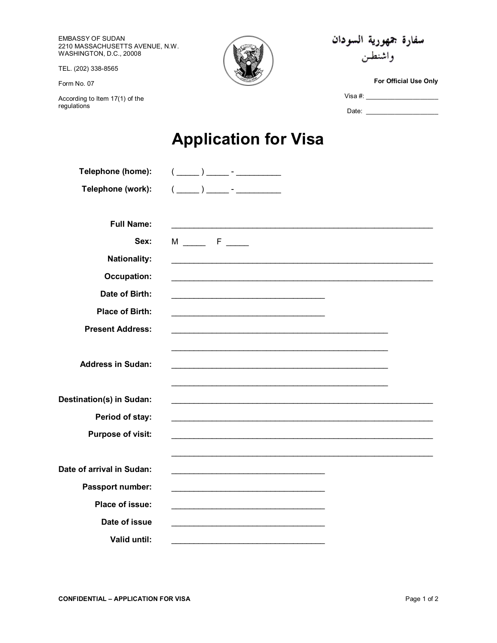EMBASSY OF SUDAN 2210 MASSACHUSETTS AVENUE, N.W. WASHINGTON, D.C., 20008

TEL. (202) 338-8565

Form No. 07

According to Item 17(1) of the<br>regulations



سفارة جمهورية السودان واشنطن

For Official Use Only

## **Application for Visa**

| Telephone (home):         | $(\underline{\hspace{1cm}})$ $\underline{\hspace{1cm}}$ $\cdot$ $\underline{\hspace{1cm}}$ $\cdot$ $\underline{\hspace{1cm}}$ $\cdot$ $\underline{\hspace{1cm}}$ $\cdot$ $\underline{\hspace{1cm}}$ $\cdot$ $\underline{\hspace{1cm}}$ $\cdot$ $\underline{\hspace{1cm}}$ $\cdot$ $\underline{\hspace{1cm}}$ $\cdot$ $\underline{\hspace{1cm}}$ $\cdot$ $\underline{\hspace{1cm}}$ $\cdot$ $\underline{\hspace{1cm}}$ $\cdot$ $\underline{\hspace{1cm}}$ $\cdot$ $\underline{\$                                                                           |
|---------------------------|-----------------------------------------------------------------------------------------------------------------------------------------------------------------------------------------------------------------------------------------------------------------------------------------------------------------------------------------------------------------------------------------------------------------------------------------------------------------------------------------------------------------------------------------------------------|
| Telephone (work):         | $(\begin{array}{c} \begin{array}{c} \begin{array}{c} \end{array}\\ \end{array} \end{array} ) \begin{array}{c} \begin{array}{c} \end{array}\\ \end{array} \end{array} ) \begin{array}{c} \begin{array}{c} \end{array}\\ \end{array} ) \begin{array}{c} \begin{array}{c} \end{array}\\ \end{array} ) \begin{array}{c} \end{array} ) \begin{array}{c} \end{array} ) \begin{array}{c} \end{array} ) \begin{array}{c} \end{array} ) \begin{array}{c} \end{array} ) \begin{array}{c} \end{array} ) \begin{array}{c} \end{array} ) \begin{array}{c} \end{array}$ |
|                           |                                                                                                                                                                                                                                                                                                                                                                                                                                                                                                                                                           |
| <b>Full Name:</b>         |                                                                                                                                                                                                                                                                                                                                                                                                                                                                                                                                                           |
| Sex:                      | M _____ F ____                                                                                                                                                                                                                                                                                                                                                                                                                                                                                                                                            |
| <b>Nationality:</b>       |                                                                                                                                                                                                                                                                                                                                                                                                                                                                                                                                                           |
| <b>Occupation:</b>        |                                                                                                                                                                                                                                                                                                                                                                                                                                                                                                                                                           |
| Date of Birth:            |                                                                                                                                                                                                                                                                                                                                                                                                                                                                                                                                                           |
| <b>Place of Birth:</b>    |                                                                                                                                                                                                                                                                                                                                                                                                                                                                                                                                                           |
| <b>Present Address:</b>   |                                                                                                                                                                                                                                                                                                                                                                                                                                                                                                                                                           |
|                           |                                                                                                                                                                                                                                                                                                                                                                                                                                                                                                                                                           |
| <b>Address in Sudan:</b>  |                                                                                                                                                                                                                                                                                                                                                                                                                                                                                                                                                           |
|                           |                                                                                                                                                                                                                                                                                                                                                                                                                                                                                                                                                           |
| Destination(s) in Sudan:  |                                                                                                                                                                                                                                                                                                                                                                                                                                                                                                                                                           |
| Period of stay:           |                                                                                                                                                                                                                                                                                                                                                                                                                                                                                                                                                           |
| <b>Purpose of visit:</b>  |                                                                                                                                                                                                                                                                                                                                                                                                                                                                                                                                                           |
|                           |                                                                                                                                                                                                                                                                                                                                                                                                                                                                                                                                                           |
| Date of arrival in Sudan: |                                                                                                                                                                                                                                                                                                                                                                                                                                                                                                                                                           |
| Passport number:          | the control of the control of the control of the control of the control of the control of                                                                                                                                                                                                                                                                                                                                                                                                                                                                 |
| Place of issue:           |                                                                                                                                                                                                                                                                                                                                                                                                                                                                                                                                                           |
| Date of issue             |                                                                                                                                                                                                                                                                                                                                                                                                                                                                                                                                                           |
| Valid until:              |                                                                                                                                                                                                                                                                                                                                                                                                                                                                                                                                                           |